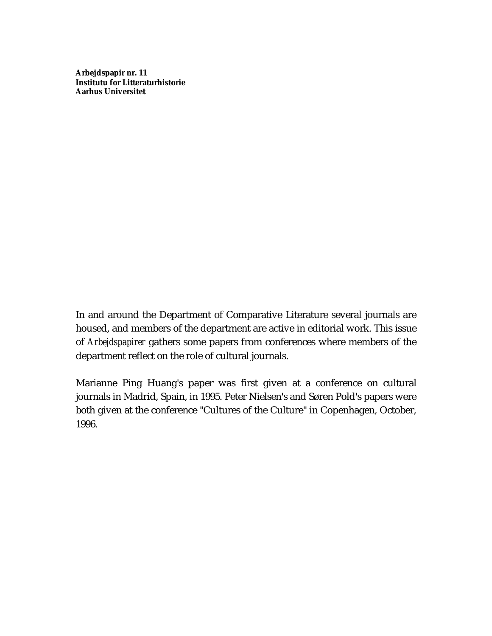**Arbejdspapir nr. 11 Institutu for Litteraturhistorie Aarhus Universitet**

In and around the Department of Comparative Literature several journals are housed, and members of the department are active in editorial work. This issue of *Arbejdspapirer* gathers some papers from conferences where members of the department reflect on the role of cultural journals.

Marianne Ping Huang's paper was first given at a conference on cultural journals in Madrid, Spain, in 1995. Peter Nielsen's and Søren Pold's papers were both given at the conference "Cultures of the Culture" in Copenhagen, October, 1996.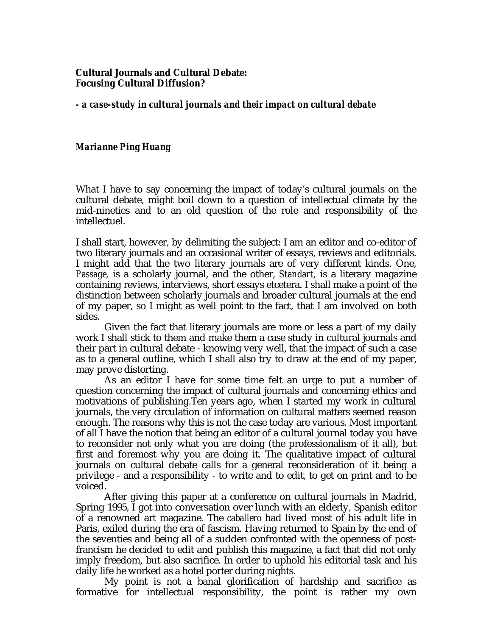# **Cultural Journals and Cultural Debate: Focusing Cultural Diffusion?**

*- a case-study in cultural journals and their impact on cultural debate*

# *Marianne Ping Huang*

What I have to say concerning the impact of today's cultural journals on the cultural debate, might boil down to a question of intellectual climate by the mid-nineties and to an old question of the role and responsibility of the intellectuel.

I shall start, however, by delimiting the subject: I am an editor and co-editor of two literary journals and an occasional writer of essays, reviews and editorials. I might add that the two literary journals are of very different kinds. One, *Passage,* is a scholarly journal, and the other, *Standart,* is a literary magazine containing reviews, interviews, short essays etcetera. I shall make a point of the distinction between scholarly journals and broader cultural journals at the end of my paper, so I might as well point to the fact, that I am involved on both sides.

Given the fact that literary journals are more or less a part of my daily work I shall stick to them and make them a case study in cultural journals and their part in cultural debate - knowing very well, that the impact of such a case as to a general outline, which I shall also try to draw at the end of my paper, may prove distorting.

As an editor I have for some time felt an urge to put a number of question concerning the impact of cultural journals and concerning ethics and motivations of publishing.Ten years ago, when I started my work in cultural journals, the very circulation of information on cultural matters seemed reason enough. The reasons why this is not the case today are various. Most important of all I have the notion that being an editor of a cultural journal today you have to reconsider not only what you are doing (the professionalism of it all), but first and foremost why you are doing it. The qualitative impact of cultural journals on cultural debate calls for a general reconsideration of it being a privilege - and a responsibility - to write and to edit, to get on print and to be voiced.

After giving this paper at a conference on cultural journals in Madrid, Spring 1995, I got into conversation over lunch with an elderly, Spanish editor of a renowned art magazine. The *caballero* had lived most of his adult life in Paris, exiled during the era of fascism. Having returned to Spain by the end of the seventies and being all of a sudden confronted with the openness of postfrancism he decided to edit and publish this magazine, a fact that did not only imply freedom, but also sacrifice. In order to uphold his editorial task and his daily life he worked as a hotel porter during nights.

My point is not a banal glorification of hardship and sacrifice as formative for intellectual responsibility, the point is rather my own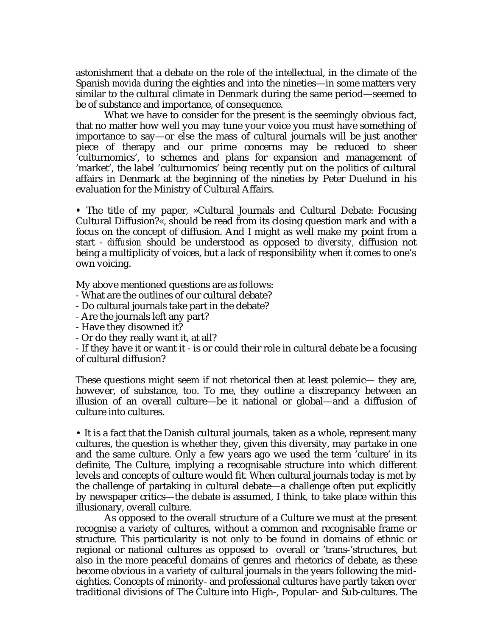astonishment that a debate on the role of the intellectual, in the climate of the Spanish *movida* during the eighties and into the nineties—in some matters very similar to the cultural climate in Denmark during the same period—seemed to be of substance and importance, of consequence.

What we have to consider for the present is the seemingly obvious fact, that no matter how well you may tune your voice you must have something of importance to say—or else the mass of cultural journals will be just another piece of therapy and our prime concerns may be reduced to sheer 'culturnomics', to schemes and plans for expansion and management of 'market', the label 'culturnomics' being recently put on the politics of cultural affairs in Denmark at the beginning of the nineties by Peter Duelund in his evaluation for the Ministry of Cultural Affairs.

**•** The title of my paper, »Cultural Journals and Cultural Debate: Focusing Cultural Diffusion?«, should be read from its closing question mark and with a focus on the concept of diffusion. And I might as well make my point from a start - *diffusion* should be understood as opposed to *diversity,* diffusion not being a multiplicity of voices, but a lack of responsibility when it comes to one's own voicing.

My above mentioned questions are as follows:

- What are the outlines of our cultural debate?

- Do cultural journals take part in the debate?

- Are the journals left any part?

- Have they disowned it?

- Or do they really want it, at all?

- If they have it or want it - is or could their role in cultural debate be a focusing of cultural diffusion?

These questions might seem if not rhetorical then at least polemic— they are, however, of substance, too. To me, they outline a discrepancy between an illusion of an overall culture—be it national or global—and a diffusion of culture into cultures.

• It is a fact that the Danish cultural journals, taken as a whole, represent many cultures, the question is whether they, given this diversity, may partake in one and the same culture. Only a few years ago we used the term 'culture' in its definite, The Culture, implying a recognisable structure into which different levels and concepts of culture would fit. When cultural journals today is met by the challenge of partaking in cultural debate—a challenge often put explicitly by newspaper critics—the debate is assumed, I think, to take place within this illusionary, overall culture.

As opposed to the overall structure of a Culture we must at the present recognise a variety of cultures, without a common and recognisable frame or structure. This particularity is not only to be found in domains of ethnic or regional or national cultures as opposed to overall or 'trans-'structures, but also in the more peaceful domains of genres and rhetorics of debate, as these become obvious in a variety of cultural journals in the years following the mideighties. Concepts of minority- and professional cultures have partly taken over traditional divisions of The Culture into High-, Popular- and Sub-cultures. The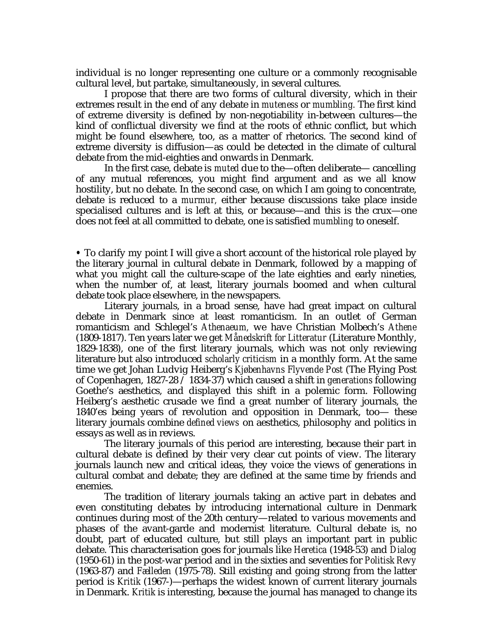individual is no longer representing one culture or a commonly recognisable cultural level, but partake, simultaneously, in several cultures.

I propose that there are two forms of cultural diversity, which in their extremes result in the end of any debate in *muteness* or *mumbling.* The first kind of extreme diversity is defined by non-negotiability in-between cultures—the kind of conflictual diversity we find at the roots of ethnic conflict, but which might be found elsewhere, too, as a matter of rhetorics. The second kind of extreme diversity is diffusion—as could be detected in the climate of cultural debate from the mid-eighties and onwards in Denmark.

In the first case, debate is *muted* due to the—often deliberate— cancelling of any mutual references, you might find argument and as we all know hostility, but no debate. In the second case, on which I am going to concentrate, debate is reduced to a *murmur,* either because discussions take place inside specialised cultures and is left at this, or because—and this is the crux—one does not feel at all committed to debate, one is satisfied *mumbling* to oneself.

**•** To clarify my point I will give a short account of the historical role played by the literary journal in cultural debate in Denmark, followed by a mapping of what you might call the culture-scape of the late eighties and early nineties, when the number of, at least, literary journals boomed and when cultural debate took place elsewhere, in the newspapers.

Literary journals, in a broad sense, have had great impact on cultural debate in Denmark since at least romanticism. In an outlet of German romanticism and Schlegel's *Athenaeum,* we have Christian Molbech's *Athene* (1809-1817). Ten years later we get *Månedskrift for Litteratur* (Literature Monthly, 1829-1838), one of the first literary journals, which was not only reviewing literature but also introduced *scholarly criticism* in a monthly form. At the same time we get Johan Ludvig Heiberg's *Kjøbenhavns Flyvende Post* (The Flying Post of Copenhagen, 1827-28 / 1834-37) which caused a shift in *generations* following Goethe's aesthetics, and displayed this shift in a polemic form. Following Heiberg's aesthetic crusade we find a great number of literary journals, the 1840'es being years of revolution and opposition in Denmark, too— these literary journals combine *defined views* on aesthetics, philosophy and politics in essays as well as in reviews.

The literary journals of this period are interesting, because their part in cultural debate is defined by their very clear cut points of view. The literary journals launch new and critical ideas, they voice the views of generations in cultural combat and debate; they are defined at the same time by friends and enemies.

The tradition of literary journals taking an active part in debates and even constituting debates by introducing international culture in Denmark continues during most of the 20th century—related to various movements and phases of the avant-garde and modernist literature. Cultural debate is, no doubt, part of educated culture, but still plays an important part in public debate. This characterisation goes for journals like *Heretica* (1948-53) and *Dialog* (1950-61) in the post-war period and in the sixties and seventies for *Politisk Revy* (1963-87) and *Fælleden* (1975-78). Still existing and going strong from the latter period is *Kritik* (1967-)—perhaps the widest known of current literary journals in Denmark. *Kritik* is interesting, because the journal has managed to change its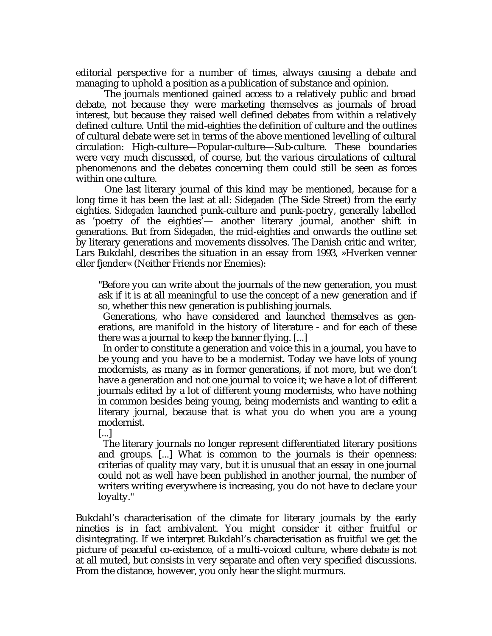editorial perspective for a number of times, always causing a debate and managing to uphold a position as a publication of substance and opinion.

The journals mentioned gained access to a relatively public and broad debate, not because they were marketing themselves as journals of broad interest, but because they raised well defined debates from within a relatively defined culture. Until the mid-eighties the definition of culture and the outlines of cultural debate were set in terms of the above mentioned levelling of cultural circulation: High-culture—Popular-culture—Sub-culture. These boundaries were very much discussed, of course, but the various circulations of cultural phenomenons and the debates concerning them could still be seen as forces within one culture.

One last literary journal of this kind may be mentioned, because for a long time it has been the last at all: *Sidegaden* (The Side Street) from the early eighties. *Sidegaden* launched punk-culture and punk-poetry, generally labelled as 'poetry of the eighties'— another literary journal, another shift in generations. But from *Sidegaden,* the mid-eighties and onwards the outline set by literary generations and movements dissolves. The Danish critic and writer, Lars Bukdahl, describes the situation in an essay from 1993, »Hverken venner eller fjender« (Neither Friends nor Enemies):

"Before you can write about the journals of the new generation, you must ask if it is at all meaningful to use the concept of a new generation and if so, whether this new generation is publishing journals.

Generations, who have considered and launched themselves as generations, are manifold in the history of literature - and for each of these there was a journal to keep the banner flying. [...]

In order to constitute a generation and voice this in a journal, you have to be young and you have to be a modernist. Today we have lots of young modernists, as many as in former generations, if not more, but we don't have a generation and not one journal to voice it; we have a lot of different journals edited by a lot of different young modernists, who have nothing in common besides being young, being modernists and wanting to edit a literary journal, because that is what you do when you are a young modernist.

[...]

The literary journals no longer represent differentiated literary positions and groups. [...] What is common to the journals is their openness: criterias of quality may vary, but it is unusual that an essay in one journal could not as well have been published in another journal, the number of writers writing everywhere is increasing, you do not have to declare your loyalty."

Bukdahl's characterisation of the climate for literary journals by the early nineties is in fact ambivalent. You might consider it either fruitful or disintegrating. If we interpret Bukdahl's characterisation as fruitful we get the picture of peaceful co-existence, of a multi-voiced culture, where debate is not at all muted, but consists in very separate and often very specified discussions. From the distance, however, you only hear the slight murmurs.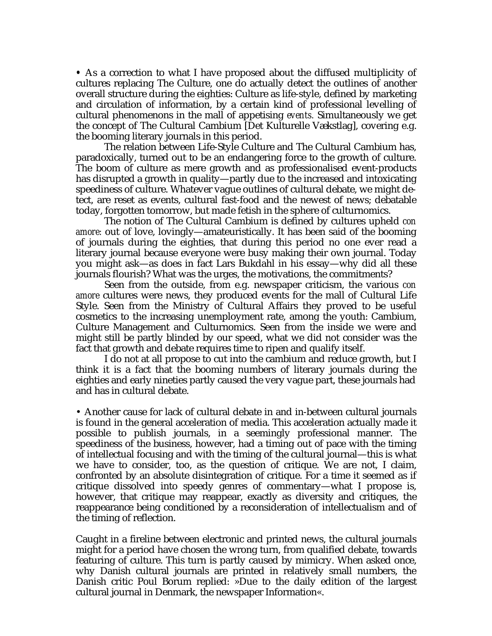**•** As a correction to what I have proposed about the diffused multiplicity of cultures replacing The Culture, one do actually detect the outlines of another overall structure during the eighties: Culture as life-style, defined by marketing and circulation of information, by a certain kind of professional levelling of cultural phenomenons in the mall of appetising *events.* Simultaneously we get the concept of The Cultural Cambium [Det Kulturelle Vækstlag], covering e.g. the booming literary journals in this period.

The relation between Life-Style Culture and The Cultural Cambium has, paradoxically, turned out to be an endangering force to the growth of culture. The boom of culture as mere growth and as professionalised event-products has disrupted a growth in quality—partly due to the increased and intoxicating speediness of culture. Whatever vague outlines of cultural debate, we might detect, are reset as events, cultural fast-food and the newest of news; debatable today, forgotten tomorrow, but made fetish in the sphere of culturnomics.

The notion of The Cultural Cambium is defined by cultures upheld *con amore:* out of love, lovingly—amateuristically. It has been said of the booming of journals during the eighties, that during this period no one ever read a literary journal because everyone were busy making their own journal. Today you might ask—as does in fact Lars Bukdahl in his essay—why did all these journals flourish? What was the urges, the motivations, the commitments?

Seen from the outside, from e.g. newspaper criticism, the various *con amore* cultures were news, they produced events for the mall of Cultural Life Style. Seen from the Ministry of Cultural Affairs they proved to be useful cosmetics to the increasing unemployment rate, among the youth: Cambium, Culture Management and Culturnomics. Seen from the inside we were and might still be partly blinded by our speed, what we did not consider was the fact that growth and debate requires time to ripen and qualify itself.

I do not at all propose to cut into the cambium and reduce growth, but I think it is a fact that the booming numbers of literary journals during the eighties and early nineties partly caused the very vague part, these journals had and has in cultural debate.

• Another cause for lack of cultural debate in and in-between cultural journals is found in the general acceleration of media. This acceleration actually made it possible to publish journals, in a seemingly professional manner. The speediness of the business, however, had a timing out of pace with the timing of intellectual focusing and with the timing of the cultural journal—this is what we have to consider, too, as the question of critique. We are not, I claim, confronted by an absolute disintegration of critique. For a time it seemed as if critique dissolved into speedy genres of commentary—what I propose is, however, that critique may reappear, exactly as diversity and critiques, the reappearance being conditioned by a reconsideration of intellectualism and of the timing of reflection.

Caught in a fireline between electronic and printed news, the cultural journals might for a period have chosen the wrong turn, from qualified debate, towards featuring of culture. This turn is partly caused by mimicry. When asked once, why Danish cultural journals are printed in relatively small numbers, the Danish critic Poul Borum replied: »Due to the daily edition of the largest cultural journal in Denmark, the newspaper Information«.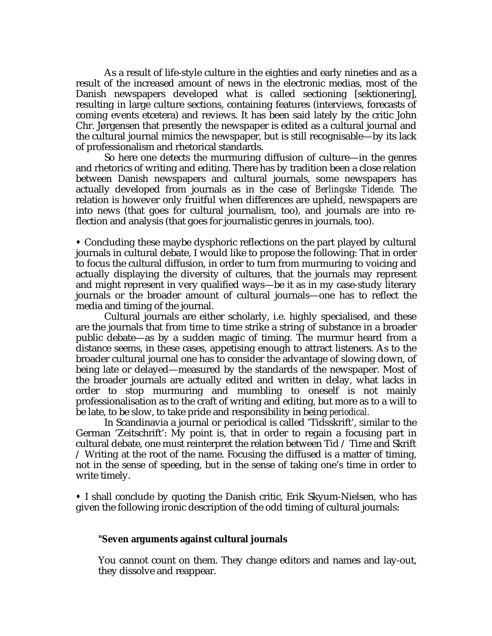As a result of life-style culture in the eighties and early nineties and as a result of the increased amount of news in the electronic medias, most of the Danish newspapers developed what is called sectioning [sektionering], resulting in large culture sections, containing features (interviews, forecasts of coming events etcetera) and reviews. It has been said lately by the critic John Chr. Jørgensen that presently the newspaper is edited as a cultural journal and the cultural journal mimics the newspaper, but is still recognisable—by its lack of professionalism and rhetorical standards.

So here one detects the murmuring diffusion of culture—in the genres and rhetorics of writing and editing. There has by tradition been a close relation between Danish newspapers and cultural journals, some newspapers has actually developed from journals as in the case of *Berlingske Tidende.* The relation is however only fruitful when differences are upheld, newspapers are into news (that goes for cultural journalism, too), and journals are into reflection and analysis (that goes for journalistic genres in journals, too).

**•** Concluding these maybe dysphoric reflections on the part played by cultural journals in cultural debate, I would like to propose the following: That in order to focus the cultural diffusion, in order to turn from murmuring to voicing and actually displaying the diversity of cultures, that the journals may represent and might represent in very qualified ways—be it as in my case-study literary journals or the broader amount of cultural journals—one has to reflect the media and timing of the journal.

Cultural journals are either scholarly, i.e. highly specialised, and these are the journals that from time to time strike a string of substance in a broader public debate—as by a sudden magic of timing. The murmur heard from a distance seems, in these cases, appetising enough to attract listeners. As to the broader cultural journal one has to consider the advantage of slowing down, of being late or delayed—measured by the standards of the newspaper. Most of the broader journals are actually edited and written in delay, what lacks in order to stop murmuring and mumbling to oneself is not mainly professionalisation as to the craft of writing and editing, but more as to a will to be late, to be slow, to take pride and responsibility in being *periodical.*

In Scandinavia a journal or periodical is called 'Tidsskrift', similar to the German 'Zeitschrift': My point is, that in order to regain a focusing part in cultural debate, one must reinterpret the relation between Tid / Time and Skrift / Writing at the root of the name. Focusing the diffused is a matter of timing, not in the sense of speeding, but in the sense of taking one's time in order to write timely.

**•** I shall conclude by quoting the Danish critic, Erik Skyum-Nielsen, who has given the following ironic description of the odd timing of cultural journals:

#### **"Seven arguments against cultural journals**

You cannot count on them. They change editors and names and lay-out, they dissolve and reappear.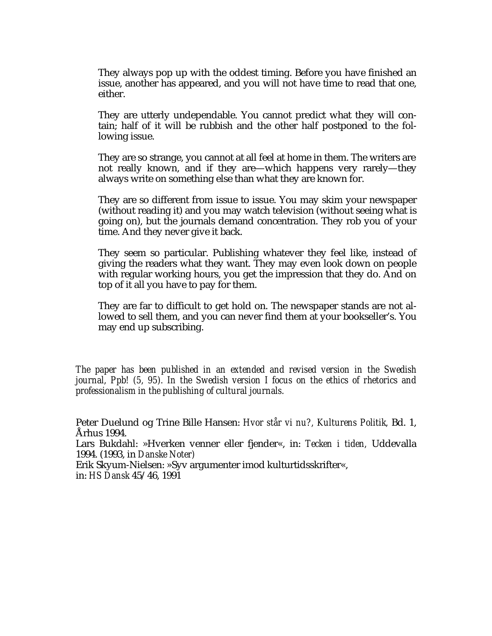They always pop up with the oddest timing. Before you have finished an issue, another has appeared, and you will not have time to read that one, either.

They are utterly undependable. You cannot predict what they will contain; half of it will be rubbish and the other half postponed to the following issue.

They are so strange, you cannot at all feel at home in them. The writers are not really known, and if they are—which happens very rarely—they always write on something else than what they are known for.

They are so different from issue to issue. You may skim your newspaper (without reading it) and you may watch television (without seeing what is going on), but the journals demand concentration. They rob you of your time. And they never give it back.

They seem so particular. Publishing whatever they feel like, instead of giving the readers what they want. They may even look down on people with regular working hours, you get the impression that they do. And on top of it all you have to pay for them.

They are far to difficult to get hold on. The newspaper stands are not allowed to sell them, and you can never find them at your bookseller's. You may end up subscribing.

*The paper has been published in an extended and revised version in the Swedish journal, Ppb! (5, 95). In the Swedish version I focus on the ethics of rhetorics and professionalism in the publishing of cultural journals.*

Peter Duelund og Trine Bille Hansen: *Hvor står vi nu?, Kulturens Politik,* Bd. 1, Århus 1994.

Lars Bukdahl: »Hverken venner eller fjender«, in: *Tecken i tiden,* Uddevalla 1994. (1993, in *Danske Noter)*

Erik Skyum-Nielsen: »Syv argumenter imod kulturtidsskrifter«, in: *HS Dansk* 45/46, 1991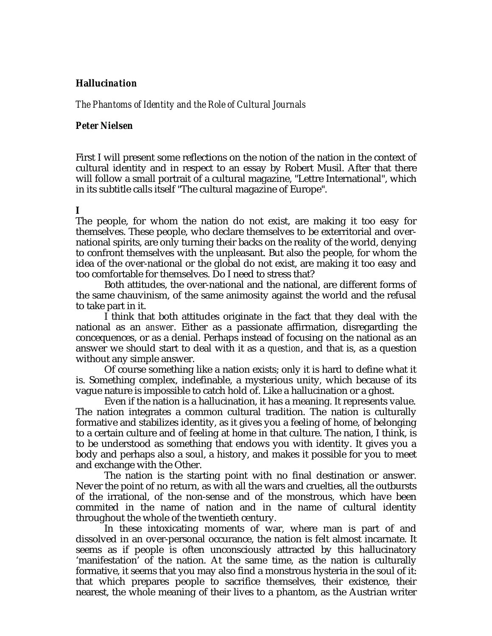# **Halluci***nation*

*The Phantoms of Identity and the Role of Cultural Journals*

## *Peter Nielsen*

First I will present some reflections on the notion of the nation in the context of cultural identity and in respect to an essay by Robert Musil. After that there will follow a small portrait of a cultural magazine, "Lettre International", which in its subtitle calls itself "The cultural magazine of Europe".

### **I**

The people, for whom the nation do not exist, are making it too easy for themselves. These people, who declare themselves to be exterritorial and overnational spirits, are only turning their backs on the reality of the world, denying to confront themselves with the unpleasant. But also the people, for whom the idea of the over-national or the global do not exist, are making it too easy and too comfortable for themselves. Do I need to stress that?

Both attitudes, the over-national and the national, are different forms of the same chauvinism, of the same animosity against the world and the refusal to take part in it.

I think that both attitudes originate in the fact that they deal with the national as an *answer*. Either as a passionate affirmation, disregarding the concequences, or as a denial. Perhaps instead of focusing on the national as an answer we should start to deal with it as a *question*, and that is, as a question without any simple answer.

Of course something like a nation exists; only it is hard to define what it is. Something complex, indefinable, a mysterious unity, which because of its vague nature is impossible to catch hold of. Like a hallucination or a ghost.

Even if the nation is a hallucination, it has a meaning. It represents value. The nation integrates a common cultural tradition. The nation is culturally formative and stabilizes identity, as it gives you a feeling of home, of belonging to a certain culture and of feeling at home in that culture. The nation, I think, is to be understood as something that endows you with identity. It gives you a body and perhaps also a soul, a history, and makes it possible for you to meet and exchange with the Other.

The nation is the starting point with no final destination or answer. Never the point of no return, as with all the wars and cruelties, all the outbursts of the irrational, of the non-sense and of the monstrous, which have been commited in the name of nation and in the name of cultural identity throughout the whole of the twentieth century.

In these intoxicating moments of war, where man is part of and dissolved in an over-personal occurance, the nation is felt almost incarnate. It seems as if people is often unconsciously attracted by this hallucinatory 'manifestation' of the nation. At the same time, as the nation is culturally formative, it seems that you may also find a monstrous hysteria in the soul of it: that which prepares people to sacrifice themselves, their existence, their nearest, the whole meaning of their lives to a phantom, as the Austrian writer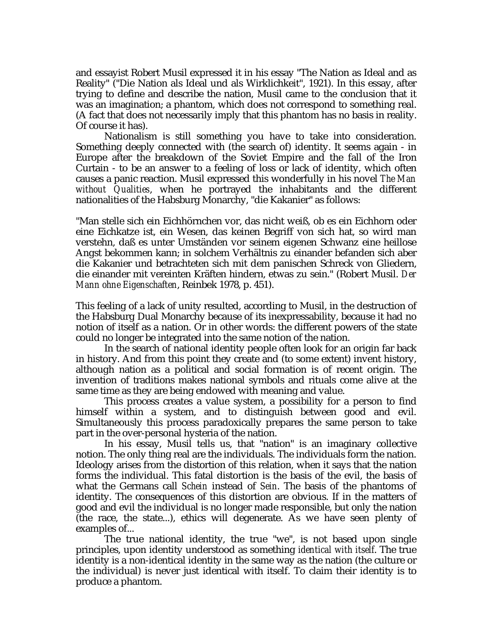and essayist Robert Musil expressed it in his essay "The Nation as Ideal and as Reality" ("Die Nation als Ideal und als Wirklichkeit", 1921). In this essay, after trying to define and describe the nation, Musil came to the conclusion that it was an imagination; a phantom, which does not correspond to something real. (A fact that does not necessarily imply that this phantom has no basis in reality. Of course it has).

Nationalism is still something you have to take into consideration. Something deeply connected with (the search of) identity. It seems again - in Europe after the breakdown of the Soviet Empire and the fall of the Iron Curtain - to be an answer to a feeling of loss or lack of identity, which often causes a panic reaction. Musil expressed this wonderfully in his novel *The Man without Qualities*, when he portrayed the inhabitants and the different nationalities of the Habsburg Monarchy, "die Kakanier" as follows:

"Man stelle sich ein Eichhörnchen vor, das nicht weiß, ob es ein Eichhorn oder eine Eichkatze ist, ein Wesen, das keinen Begriff von sich hat, so wird man verstehn, daß es unter Umständen vor seinem eigenen Schwanz eine heillose Angst bekommen kann; in solchem Verhältnis zu einander befanden sich aber die Kakanier und betrachteten sich mit dem panischen Schreck von Gliedern, die einander mit vereinten Kräften hindern, etwas zu sein." (Robert Musil. *Der Mann ohne Eigenschaften*, Reinbek 1978, p. 451).

This feeling of a lack of unity resulted, according to Musil, in the destruction of the Habsburg Dual Monarchy because of its inexpressability, because it had no notion of itself as a nation. Or in other words: the different powers of the state could no longer be integrated into the same notion of the nation.

In the search of national identity people often look for an origin far back in history. And from this point they create and (to some extent) invent history, although nation as a political and social formation is of recent origin. The invention of traditions makes national symbols and rituals come alive at the same time as they are being endowed with meaning and value.

This process creates a value system, a possibility for a person to find himself within a system, and to distinguish between good and evil. Simultaneously this process paradoxically prepares the same person to take part in the over-personal hysteria of the nation.

In his essay, Musil tells us, that "nation" is an imaginary collective notion. The only thing real are the individuals. The individuals form the nation. Ideology arises from the distortion of this relation, when it says that the nation forms the individual. This fatal distortion is the basis of the evil, the basis of what the Germans call *Schein* instead of *Sein*. The basis of the phantoms of identity. The consequences of this distortion are obvious. If in the matters of good and evil the individual is no longer made responsible, but only the nation (the race, the state...), ethics will degenerate. As we have seen plenty of examples of...

The true national identity, the true "we", is not based upon single principles, upon identity understood as something *identical with itself*. The true identity is a non-identical identity in the same way as the nation (the culture or the individual) is never just identical with itself. To claim their identity is to produce a phantom.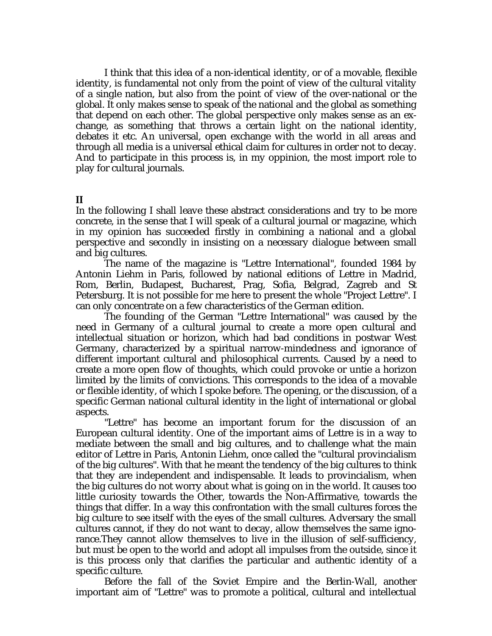I think that this idea of a non-identical identity, or of a movable, flexible identity, is fundamental not only from the point of view of the cultural vitality of a single nation, but also from the point of view of the over-national or the global. It only makes sense to speak of the national and the global as something that depend on each other. The global perspective only makes sense as an exchange, as something that throws a certain light on the national identity, debates it etc. An universal, open exchange with the world in all areas and through all media is a universal ethical claim for cultures in order not to decay. And to participate in this process is, in my oppinion, the most import role to play for cultural journals.

### **II**

In the following I shall leave these abstract considerations and try to be more concrete, in the sense that I will speak of a cultural journal or magazine, which in my opinion has succeeded firstly in combining a national and a global perspective and secondly in insisting on a necessary dialogue between small and big cultures.

The name of the magazine is "Lettre International", founded 1984 by Antonin Liehm in Paris, followed by national editions of Lettre in Madrid, Rom, Berlin, Budapest, Bucharest, Prag, Sofia, Belgrad, Zagreb and St Petersburg. It is not possible for me here to present the whole "Project Lettre". I can only concentrate on a few characteristics of the German edition.

The founding of the German "Lettre International" was caused by the need in Germany of a cultural journal to create a more open cultural and intellectual situation or horizon, which had bad conditions in postwar West Germany, characterized by a spiritual narrow-mindedness and ignorance of different important cultural and philosophical currents. Caused by a need to create a more open flow of thoughts, which could provoke or untie a horizon limited by the limits of convictions. This corresponds to the idea of a movable or flexible identity, of which I spoke before. The opening, or the discussion, of a specific German national cultural identity in the light of international or global aspects.

"Lettre" has become an important forum for the discussion of an European cultural identity. One of the important aims of Lettre is in a way to mediate between the small and big cultures, and to challenge what the main editor of Lettre in Paris, Antonin Liehm, once called the "cultural provincialism of the big cultures". With that he meant the tendency of the big cultures to think that they are independent and indispensable. It leads to provincialism, when the big cultures do not worry about what is going on in the world. It causes too little curiosity towards the Other, towards the Non-Affirmative, towards the things that differ. In a way this confrontation with the small cultures forces the big culture to see itself with the eyes of the small cultures. Adversary the small cultures cannot, if they do not want to decay, allow themselves the same ignorance.They cannot allow themselves to live in the illusion of self-sufficiency, but must be open to the world and adopt all impulses from the outside, since it is this process only that clarifies the particular and authentic identity of a specific culture.

Before the fall of the Soviet Empire and the Berlin-Wall, another important aim of "Lettre" was to promote a political, cultural and intellectual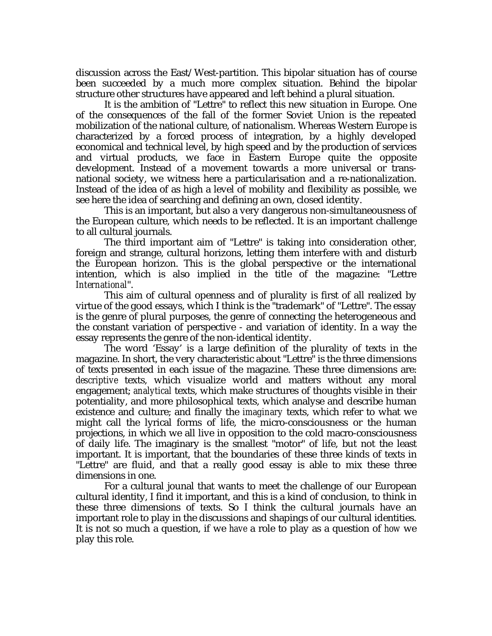discussion across the East/West-partition. This bipolar situation has of course been succeeded by a much more complex situation. Behind the bipolar structure other structures have appeared and left behind a plural situation.

It is the ambition of "Lettre" to reflect this new situation in Europe. One of the consequences of the fall of the former Soviet Union is the repeated mobilization of the national culture, of nationalism. Whereas Western Europe is characterized by a forced process of integration, by a highly developed economical and technical level, by high speed and by the production of services and virtual products, we face in Eastern Europe quite the opposite development. Instead of a movement towards a more universal or transnational society, we witness here a particularisation and a re-nationalization. Instead of the idea of as high a level of mobility and flexibility as possible, we see here the idea of searching and defining an own, closed identity.

This is an important, but also a very dangerous non-simultaneousness of the European culture, which needs to be reflected. It is an important challenge to all cultural journals.

The third important aim of "Lettre" is taking into consideration other, foreign and strange, cultural horizons, letting them interfere with and disturb the European horizon. This is the global perspective or the international intention, which is also implied in the title of the magazine: "Lettre *International*".

This aim of cultural openness and of plurality is first of all realized by virtue of the good essays, which I think is the "trademark" of "Lettre". The essay is the genre of plural purposes, the genre of connecting the heterogeneous and the constant variation of perspective - and variation of identity. In a way the essay represents the genre of the non-identical identity.

The word 'Essay' is a large definition of the plurality of texts in the magazine. In short, the very characteristic about "Lettre" is the three dimensions of texts presented in each issue of the magazine. These three dimensions are: *descriptive* texts, which visualize world and matters without any moral engagement; *analytical* texts, which make structures of thoughts visible in their potentiality, and more philosophical texts, which analyse and describe human existence and culture; and finally the *imaginary* texts, which refer to what we might call the lyrical forms of life, the micro-consciousness or the human projections, in which we all live in opposition to the cold macro-consciousness of daily life. The imaginary is the smallest "motor" of life, but not the least important. It is important, that the boundaries of these three kinds of texts in "Lettre" are fluid, and that a really good essay is able to mix these three dimensions in one.

For a cultural jounal that wants to meet the challenge of our European cultural identity, I find it important, and this is a kind of conclusion, to think in these three dimensions of texts. So I think the cultural journals have an important role to play in the discussions and shapings of our cultural identities. It is not so much a question, if we *have* a role to play as a question of *how* we play this role.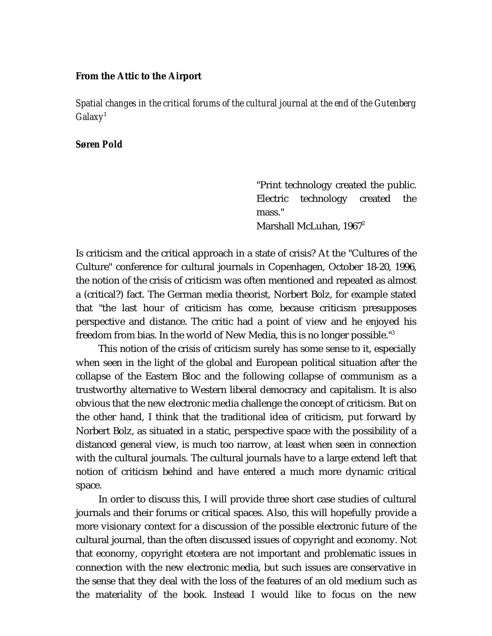### **From the Attic to the Airport**

*Spatial changes in the critical forums of the cultural journal at the end of the Gutenberg Galaxy*<sup>1</sup>

#### *Søren Pold*

"Print technology created the public. Electric technology created the mass." Marshall McLuhan, 1967<sup>2</sup>

Is criticism and the critical approach in a state of crisis? At the "Cultures of the Culture" conference for cultural journals in Copenhagen, October 18-20, 1996, the notion of the crisis of criticism was often mentioned and repeated as almost a (critical?) fact. The German media theorist, Norbert Bolz, for example stated that "the last hour of criticism has come, because criticism presupposes perspective and distance. The critic had a point of view and he enjoyed his freedom from bias. In the world of New Media, this is no longer possible."<sup>3</sup>

This notion of the crisis of criticism surely has some sense to it, especially when seen in the light of the global and European political situation after the collapse of the Eastern Bloc and the following collapse of communism as a trustworthy alternative to Western liberal democracy and capitalism. It is also obvious that the new electronic media challenge the concept of criticism. But on the other hand, I think that the traditional idea of criticism, put forward by Norbert Bolz, as situated in a static, perspective space with the possibility of a distanced general view, is much too narrow, at least when seen in connection with the cultural journals. The cultural journals have to a large extend left that notion of criticism behind and have entered a much more dynamic critical space.

In order to discuss this, I will provide three short case studies of cultural journals and their forums or critical spaces. Also, this will hopefully provide a more visionary context for a discussion of the possible electronic future of the cultural journal, than the often discussed issues of copyright and economy. Not that economy, copyright etcetera are not important and problematic issues in connection with the new electronic media, but such issues are conservative in the sense that they deal with the loss of the features of an old medium such as the materiality of the book. Instead I would like to focus on the new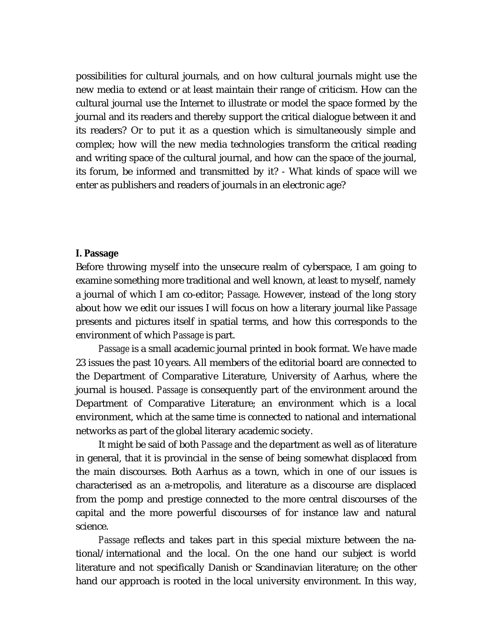possibilities for cultural journals, and on how cultural journals might use the new media to extend or at least maintain their range of criticism. How can the cultural journal use the Internet to illustrate or model the space formed by the journal and its readers and thereby support the critical dialogue between it and its readers? Or to put it as a question which is simultaneously simple and complex; how will the new media technologies transform the critical reading and writing space of the cultural journal, and how can the space of the journal, its forum, be informed and transmitted by it? - What kinds of space will we enter as publishers and readers of journals in an electronic age?

## **I. Passage**

Before throwing myself into the unsecure realm of cyberspace, I am going to examine something more traditional and well known, at least to myself, namely a journal of which I am co-editor; *Passage*. However, instead of the long story about how we edit our issues I will focus on how a literary journal like *Passage* presents and pictures itself in spatial terms, and how this corresponds to the environment of which *Passage* is part.

*Passage* is a small academic journal printed in book format. We have made 23 issues the past 10 years. All members of the editorial board are connected to the Department of Comparative Literature, University of Aarhus, where the journal is housed. *Passage* is consequently part of the environment around the Department of Comparative Literature; an environment which is a local environment, which at the same time is connected to national and international networks as part of the global literary academic society.

It might be said of both *Passage* and the department as well as of literature in general, that it is provincial in the sense of being somewhat displaced from the main discourses. Both Aarhus as a town, which in one of our issues is characterised as an a-metropolis, and literature as a discourse are displaced from the pomp and prestige connected to the more central discourses of the capital and the more powerful discourses of for instance law and natural science.

*Passage* reflects and takes part in this special mixture between the national/international and the local. On the one hand our subject is world literature and not specifically Danish or Scandinavian literature; on the other hand our approach is rooted in the local university environment. In this way,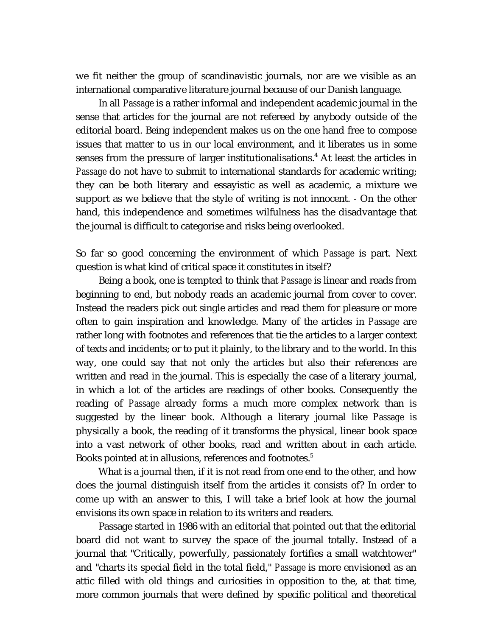we fit neither the group of scandinavistic journals, nor are we visible as an international comparative literature journal because of our Danish language.

In all *Passage* is a rather informal and independent academic journal in the sense that articles for the journal are not refereed by anybody outside of the editorial board. Being independent makes us on the one hand free to compose issues that matter to us in our local environment, and it liberates us in some senses from the pressure of larger institutionalisations.<sup>4</sup> At least the articles in *Passage* do not have to submit to international standards for academic writing; they can be both literary and essayistic as well as academic, a mixture we support as we believe that the style of writing is not innocent. - On the other hand, this independence and sometimes wilfulness has the disadvantage that the journal is difficult to categorise and risks being overlooked.

So far so good concerning the environment of which *Passage* is part. Next question is what kind of critical space it constitutes in itself?

Being a book, one is tempted to think that *Passage* is linear and reads from beginning to end, but nobody reads an academic journal from cover to cover. Instead the readers pick out single articles and read them for pleasure or more often to gain inspiration and knowledge. Many of the articles in *Passage* are rather long with footnotes and references that tie the articles to a larger context of texts and incidents; or to put it plainly, to the library and to the world. In this way, one could say that not only the articles but also their references are written and read in the journal. This is especially the case of a literary journal, in which a lot of the articles are readings of other books. Consequently the reading of *Passage* already forms a much more complex network than is suggested by the linear book. Although a literary journal like *Passage* is physically a book, the reading of it transforms the physical, linear book space into a vast network of other books, read and written about in each article. Books pointed at in allusions, references and footnotes.<sup>5</sup>

What is a journal then, if it is not read from one end to the other, and how does the journal distinguish itself from the articles it consists of? In order to come up with an answer to this, I will take a brief look at how the journal envisions its own space in relation to its writers and readers.

Passage started in 1986 with an editorial that pointed out that the editorial board did not want to survey the space of the journal totally. Instead of a journal that "Critically, powerfully, passionately fortifies a small watchtower" and "charts *its* special field in the total field," *Passage* is more envisioned as an attic filled with old things and curiosities in opposition to the, at that time, more common journals that were defined by specific political and theoretical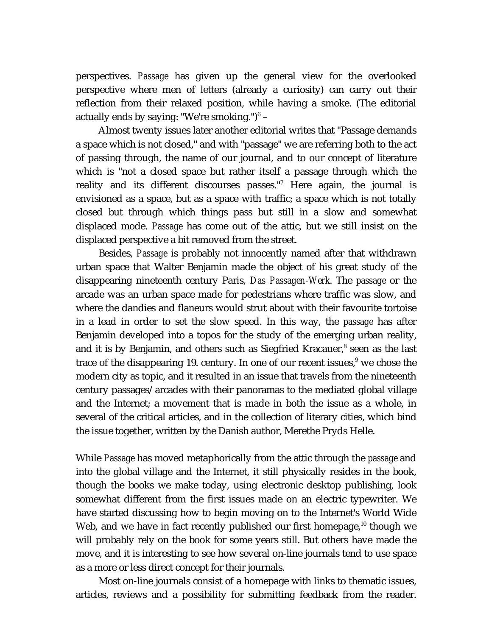perspectives. *Passage* has given up the general view for the overlooked perspective where men of letters (already a curiosity) can carry out their reflection from their relaxed position, while having a smoke. (The editorial actually ends by saying: "We're smoking.") $^6$  –

Almost twenty issues later another editorial writes that "Passage demands a space which is not closed," and with "passage" we are referring both to the act of passing through, the name of our journal, and to our concept of literature which is "not a closed space but rather itself a passage through which the reality and its different discourses passes."<sup>7</sup> Here again, the journal is envisioned as a space, but as a space with traffic; a space which is not totally closed but through which things pass but still in a slow and somewhat displaced mode. *Passage* has come out of the attic, but we still insist on the displaced perspective a bit removed from the street.

Besides, *Passage* is probably not innocently named after that withdrawn urban space that Walter Benjamin made the object of his great study of the disappearing nineteenth century Paris, *Das Passagen-Werk*. The *passage* or the arcade was an urban space made for pedestrians where traffic was slow, and where the dandies and flaneurs would strut about with their favourite tortoise in a lead in order to set the slow speed. In this way, the *passage* has after Benjamin developed into a topos for the study of the emerging urban reality, and it is by Benjamin, and others such as Siegfried Kracauer,<sup>8</sup> seen as the last trace of the disappearing 19. century. In one of our recent issues,<sup>9</sup> we chose the modern city as topic, and it resulted in an issue that travels from the nineteenth century passages/arcades with their panoramas to the mediated global village and the Internet; a movement that is made in both the issue as a whole, in several of the critical articles, and in the collection of literary cities, which bind the issue together, written by the Danish author, Merethe Pryds Helle.

While *Passage* has moved metaphorically from the attic through the *passage* and into the global village and the Internet, it still physically resides in the book, though the books we make today, using electronic desktop publishing, look somewhat different from the first issues made on an electric typewriter. We have started discussing how to begin moving on to the Internet's World Wide Web, and we have in fact recently published our first homepage, $10$  though we will probably rely on the book for some years still. But others have made the move, and it is interesting to see how several on-line journals tend to use space as a more or less direct concept for their journals.

Most on-line journals consist of a homepage with links to thematic issues, articles, reviews and a possibility for submitting feedback from the reader.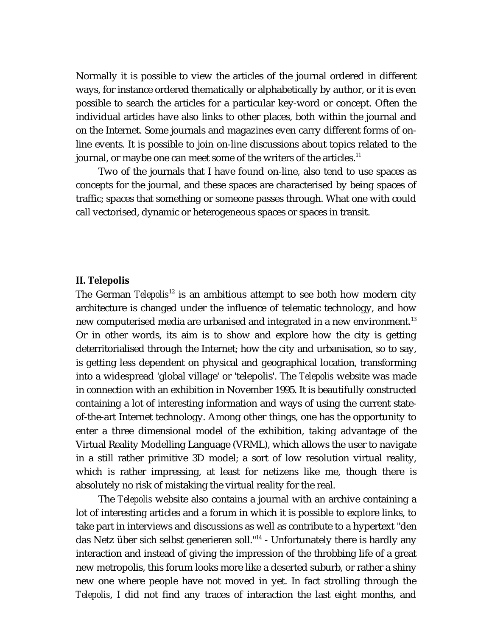Normally it is possible to view the articles of the journal ordered in different ways, for instance ordered thematically or alphabetically by author, or it is even possible to search the articles for a particular key-word or concept. Often the individual articles have also links to other places, both within the journal and on the Internet. Some journals and magazines even carry different forms of online events. It is possible to join on-line discussions about topics related to the journal, or maybe one can meet some of the writers of the articles.<sup>11</sup>

Two of the journals that I have found on-line, also tend to use spaces as concepts for the journal, and these spaces are characterised by being spaces of traffic; spaces that something or someone passes through. What one with could call vectorised, dynamic or heterogeneous spaces or spaces in transit.

#### **II. Telepolis**

The German *Telepolis*<sup>12</sup> is an ambitious attempt to see both how modern city architecture is changed under the influence of telematic technology, and how new computerised media are urbanised and integrated in a new environment.<sup>13</sup> Or in other words, its aim is to show and explore how the city is getting deterritorialised through the Internet; how the city and urbanisation, so to say, is getting less dependent on physical and geographical location, transforming into a widespread 'global village' or 'telepolis'. The *Telepolis* website was made in connection with an exhibition in November 1995. It is beautifully constructed containing a lot of interesting information and ways of using the current stateof-the-art Internet technology. Among other things, one has the opportunity to enter a three dimensional model of the exhibition, taking advantage of the Virtual Reality Modelling Language (VRML), which allows the user to navigate in a still rather primitive 3D model; a sort of low resolution virtual reality, which is rather impressing, at least for netizens like me, though there is absolutely no risk of mistaking the virtual reality for the real.

The *Telepolis* website also contains a journal with an archive containing a lot of interesting articles and a forum in which it is possible to explore links, to take part in interviews and discussions as well as contribute to a hypertext "den das Netz über sich selbst generieren soll."<sup>14</sup> - Unfortunately there is hardly any interaction and instead of giving the impression of the throbbing life of a great new metropolis, this forum looks more like a deserted suburb, or rather a shiny new one where people have not moved in yet. In fact strolling through the *Telepolis*, I did not find any traces of interaction the last eight months, and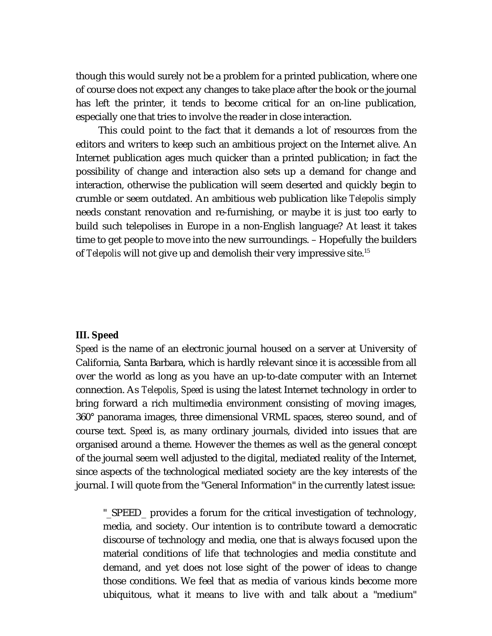though this would surely not be a problem for a printed publication, where one of course does not expect any changes to take place after the book or the journal has left the printer, it tends to become critical for an on-line publication, especially one that tries to involve the reader in close interaction.

This could point to the fact that it demands a lot of resources from the editors and writers to keep such an ambitious project on the Internet alive. An Internet publication ages much quicker than a printed publication; in fact the possibility of change and interaction also sets up a demand for change and interaction, otherwise the publication will seem deserted and quickly begin to crumble or seem outdated. An ambitious web publication like *Telepolis* simply needs constant renovation and re-furnishing, or maybe it is just too early to build such telepolises in Europe in a non-English language? At least it takes time to get people to move into the new surroundings. – Hopefully the builders of *Telepolis* will not give up and demolish their very impressive site.<sup>15</sup>

## **III. Speed**

*Speed* is the name of an electronic journal housed on a server at University of California, Santa Barbara, which is hardly relevant since it is accessible from all over the world as long as you have an up-to-date computer with an Internet connection. As *Telepolis*, *Speed* is using the latest Internet technology in order to bring forward a rich multimedia environment consisting of moving images, 360° panorama images, three dimensional VRML spaces, stereo sound, and of course text. *Speed* is, as many ordinary journals, divided into issues that are organised around a theme. However the themes as well as the general concept of the journal seem well adjusted to the digital, mediated reality of the Internet, since aspects of the technological mediated society are the key interests of the journal. I will quote from the "General Information" in the currently latest issue:

"\_SPEED\_ provides a forum for the critical investigation of technology, media, and society. Our intention is to contribute toward a democratic discourse of technology and media, one that is always focused upon the material conditions of life that technologies and media constitute and demand, and yet does not lose sight of the power of ideas to change those conditions. We feel that as media of various kinds become more ubiquitous, what it means to live with and talk about a "medium"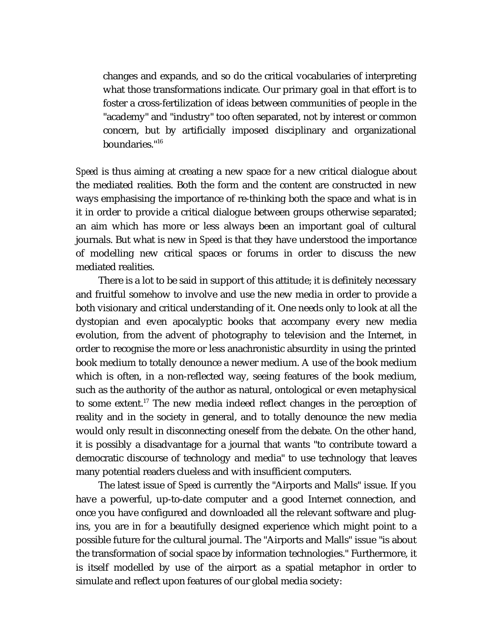changes and expands, and so do the critical vocabularies of interpreting what those transformations indicate. Our primary goal in that effort is to foster a cross-fertilization of ideas between communities of people in the "academy" and "industry" too often separated, not by interest or common concern, but by artificially imposed disciplinary and organizational boundaries."<sup>16</sup>

*Speed* is thus aiming at creating a new space for a new critical dialogue about the mediated realities. Both the form and the content are constructed in new ways emphasising the importance of re-thinking both the space and what is in it in order to provide a critical dialogue between groups otherwise separated; an aim which has more or less always been an important goal of cultural journals. But what is new in *Speed* is that they have understood the importance of modelling new critical spaces or forums in order to discuss the new mediated realities.

There is a lot to be said in support of this attitude; it is definitely necessary and fruitful somehow to involve and use the new media in order to provide a both visionary and critical understanding of it. One needs only to look at all the dystopian and even apocalyptic books that accompany every new media evolution, from the advent of photography to television and the Internet, in order to recognise the more or less anachronistic absurdity in using the printed book medium to totally denounce a newer medium. A use of the book medium which is often, in a non-reflected way, seeing features of the book medium, such as the authority of the author as natural, ontological or even metaphysical to some extent.<sup>17</sup> The new media indeed reflect changes in the perception of reality and in the society in general, and to totally denounce the new media would only result in disconnecting oneself from the debate. On the other hand, it is possibly a disadvantage for a journal that wants "to contribute toward a democratic discourse of technology and media" to use technology that leaves many potential readers clueless and with insufficient computers.

The latest issue of *Speed* is currently the "Airports and Malls" issue. If you have a powerful, up-to-date computer and a good Internet connection, and once you have configured and downloaded all the relevant software and plugins, you are in for a beautifully designed experience which might point to a possible future for the cultural journal. The "Airports and Malls" issue "is about the transformation of social space by information technologies." Furthermore, it is itself modelled by use of the airport as a spatial metaphor in order to simulate and reflect upon features of our global media society: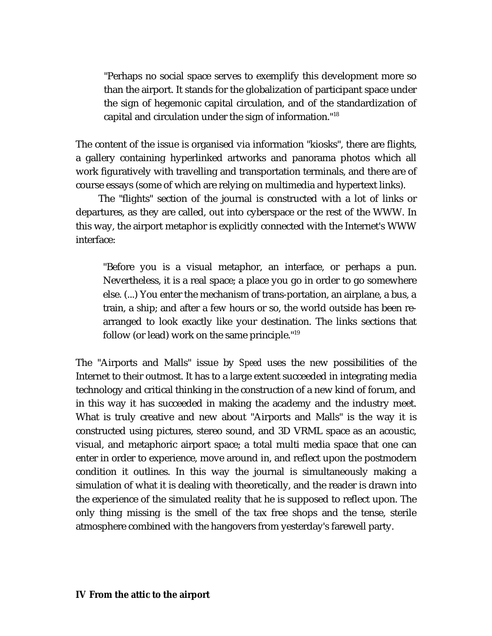"Perhaps no social space serves to exemplify this development more so than the airport. It stands for the globalization of participant space under the sign of hegemonic capital circulation, and of the standardization of capital and circulation under the sign of information."<sup>18</sup>

The content of the issue is organised via information "kiosks", there are flights, a gallery containing hyperlinked artworks and panorama photos which all work figuratively with travelling and transportation terminals, and there are of course essays (some of which are relying on multimedia and hypertext links).

The "flights" section of the journal is constructed with a lot of links or departures, as they are called, out into cyberspace or the rest of the WWW. In this way, the airport metaphor is explicitly connected with the Internet's WWW interface:

"Before you is a visual metaphor, an interface, or perhaps a pun. Nevertheless, it is a real space; a place you go in order to go somewhere else. (...) You enter the mechanism of trans-portation, an airplane, a bus, a train, a ship; and after a few hours or so, the world outside has been rearranged to look exactly like your destination. The links sections that follow (or lead) work on the same principle."<sup>19</sup>

The "Airports and Malls" issue by *Speed* uses the new possibilities of the Internet to their outmost. It has to a large extent succeeded in integrating media technology and critical thinking in the construction of a new kind of forum, and in this way it has succeeded in making the academy and the industry meet. What is truly creative and new about "Airports and Malls" is the way it is constructed using pictures, stereo sound, and 3D VRML space as an acoustic, visual, and metaphoric airport space; a total multi media space that one can enter in order to experience, move around in, and reflect upon the postmodern condition it outlines. In this way the journal is simultaneously making a simulation of what it is dealing with theoretically, and the reader is drawn into the experience of the simulated reality that he is supposed to reflect upon. The only thing missing is the smell of the tax free shops and the tense, sterile atmosphere combined with the hangovers from yesterday's farewell party.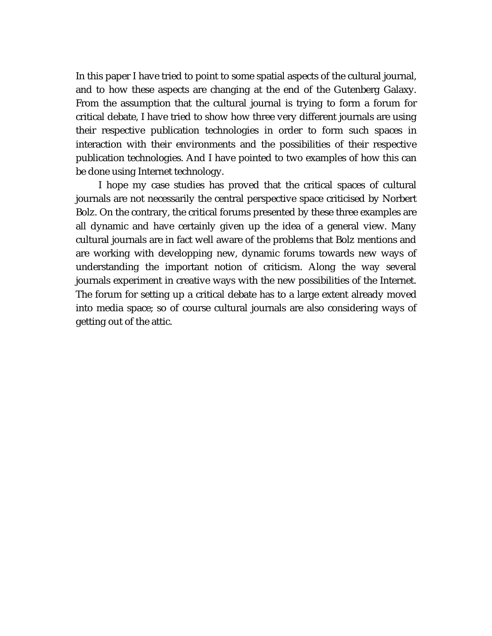In this paper I have tried to point to some spatial aspects of the cultural journal, and to how these aspects are changing at the end of the Gutenberg Galaxy. From the assumption that the cultural journal is trying to form a forum for critical debate, I have tried to show how three very different journals are using their respective publication technologies in order to form such spaces in interaction with their environments and the possibilities of their respective publication technologies. And I have pointed to two examples of how this can be done using Internet technology.

I hope my case studies has proved that the critical spaces of cultural journals are not necessarily the central perspective space criticised by Norbert Bolz. On the contrary, the critical forums presented by these three examples are all dynamic and have certainly given up the idea of a general view. Many cultural journals are in fact well aware of the problems that Bolz mentions and are working with developping new, dynamic forums towards new ways of understanding the important notion of criticism. Along the way several journals experiment in creative ways with the new possibilities of the Internet. The forum for setting up a critical debate has to a large extent already moved into media space; so of course cultural journals are also considering ways of getting out of the attic.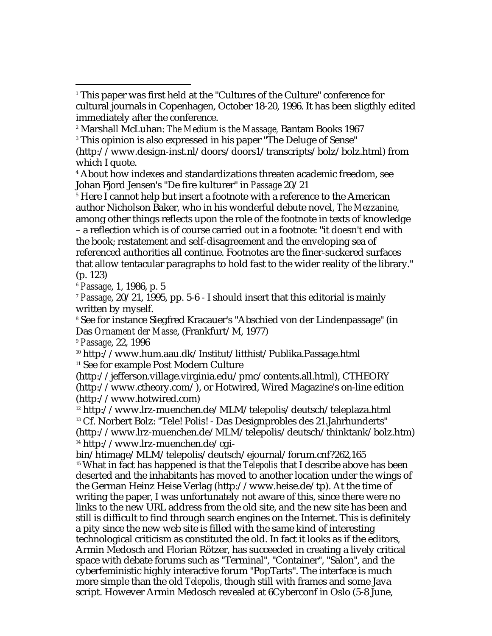- 2 Marshall McLuhan: *The Medium is the Massage,* Bantam Books 1967
- $\,$  This opinion is also expressed in his paper "The Deluge of Sense"

5 Here I cannot help but insert a footnote with a reference to the American author Nicholson Baker, who in his wonderful debute novel, *The Mezzanine*, among other things reflects upon the role of the footnote in texts of knowledge – a reflection which is of course carried out in a footnote: "it doesn't end with the book; restatement and self-disagreement and the enveloping sea of referenced authorities all continue. Footnotes are the finer-suckered surfaces that allow tentacular paragraphs to hold fast to the wider reality of the library." (p. 123)

<sup>6</sup> *Passage*, 1, 1986, p. 5

-

<sup>7</sup> *Passage*, 20/21, 1995, pp. 5-6 - I should insert that this editorial is mainly written by myself.

8 See for instance Siegfred Kracauer's "Abschied von der Lindenpassage" (in Das *Ornament der Masse*, (Frankfurt/M, 1977)

<sup>9</sup> *Passage*, 22, 1996

<sup>10</sup> http://www.hum.aau.dk/Institut/litthist/Publika.Passage.html

<sup>11</sup> See for example Post Modern Culture

(http://jefferson.village.virginia.edu/pmc/contents.all.html), CTHEORY (http://www.ctheory.com/), or Hotwired, Wired Magazine's on-line edition (http://www.hotwired.com)

 http://www.lrz-muenchen.de/MLM/telepolis/deutsch/teleplaza.html Cf. Norbert Bolz: "Tele! Polis! - Das Designprobles des 21.Jahrhunderts" (http://www.lrz-muenchen.de/MLM/telepolis/deutsch/thinktank/bolz.htm) http://www.lrz-muenchen.de/cgi-

bin/htimage/MLM/telepolis/deutsch/ejournal/forum.cnf?262,165 <sup>15</sup> What in fact has happened is that the *Telepolis* that I describe above has been deserted and the inhabitants has moved to another location under the wings of the German Heinz Heise Verlag (http://www.heise.de/tp). At the time of writing the paper, I was unfortunately not aware of this, since there were no links to the new URL address from the old site, and the new site has been and still is difficult to find through search engines on the Internet. This is definitely a pity since the new web site is filled with the same kind of interesting technological criticism as constituted the old. In fact it looks as if the editors, Armin Medosch and Florian Rötzer, has succeeded in creating a lively critical space with debate forums such as "Terminal", "Container", "Salon", and the cyberfeministic highly interactive forum "PopTarts". The interface is much more simple than the old *Telepolis*, though still with frames and some Java script. However Armin Medosch revealed at 6Cyberconf in Oslo (5-8 June,

<sup>1</sup> This paper was first held at the "Cultures of the Culture" conference for cultural journals in Copenhagen, October 18-20, 1996. It has been sligthly edited immediately after the conference.

<sup>(</sup>http://www.design-inst.nl/doors/doors1/transcripts/bolz/bolz.html) from which I quote.

<sup>4</sup> About how indexes and standardizations threaten academic freedom, see Johan Fjord Jensen's "De fire kulturer" in *Passage* 20/21